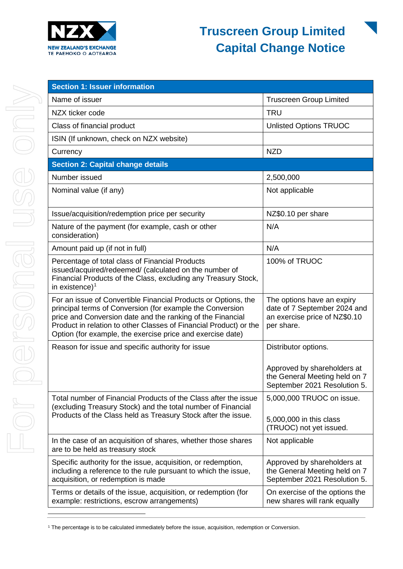

| <b>Section 1: Issuer information</b>                                                                                                                                                                                                                                                                                         |                                                                                                           |  |
|------------------------------------------------------------------------------------------------------------------------------------------------------------------------------------------------------------------------------------------------------------------------------------------------------------------------------|-----------------------------------------------------------------------------------------------------------|--|
| Name of issuer                                                                                                                                                                                                                                                                                                               | <b>Truscreen Group Limited</b>                                                                            |  |
| NZX ticker code                                                                                                                                                                                                                                                                                                              | <b>TRU</b>                                                                                                |  |
| Class of financial product                                                                                                                                                                                                                                                                                                   | <b>Unlisted Options TRUOC</b>                                                                             |  |
| ISIN (If unknown, check on NZX website)                                                                                                                                                                                                                                                                                      |                                                                                                           |  |
| Currency                                                                                                                                                                                                                                                                                                                     | <b>NZD</b>                                                                                                |  |
| <b>Section 2: Capital change details</b>                                                                                                                                                                                                                                                                                     |                                                                                                           |  |
| Number issued                                                                                                                                                                                                                                                                                                                | 2,500,000                                                                                                 |  |
| Nominal value (if any)                                                                                                                                                                                                                                                                                                       | Not applicable                                                                                            |  |
| Issue/acquisition/redemption price per security                                                                                                                                                                                                                                                                              | NZ\$0.10 per share                                                                                        |  |
| Nature of the payment (for example, cash or other<br>consideration)                                                                                                                                                                                                                                                          | N/A                                                                                                       |  |
| Amount paid up (if not in full)                                                                                                                                                                                                                                                                                              | N/A                                                                                                       |  |
| Percentage of total class of Financial Products<br>issued/acquired/redeemed/ (calculated on the number of<br>Financial Products of the Class, excluding any Treasury Stock,<br>in existence) $1$                                                                                                                             | 100% of TRUOC                                                                                             |  |
| For an issue of Convertible Financial Products or Options, the<br>principal terms of Conversion (for example the Conversion<br>price and Conversion date and the ranking of the Financial<br>Product in relation to other Classes of Financial Product) or the<br>Option (for example, the exercise price and exercise date) | The options have an expiry<br>date of 7 September 2024 and<br>an exercise price of NZ\$0.10<br>per share. |  |
| Reason for issue and specific authority for issue                                                                                                                                                                                                                                                                            | Distributor options.                                                                                      |  |
|                                                                                                                                                                                                                                                                                                                              | Approved by shareholders at<br>the General Meeting held on 7<br>September 2021 Resolution 5.              |  |
| Total number of Financial Products of the Class after the issue<br>(excluding Treasury Stock) and the total number of Financial<br>Products of the Class held as Treasury Stock after the issue.                                                                                                                             | 5,000,000 TRUOC on issue.<br>5,000,000 in this class<br>(TRUOC) not yet issued.                           |  |
| In the case of an acquisition of shares, whether those shares<br>are to be held as treasury stock                                                                                                                                                                                                                            | Not applicable                                                                                            |  |
| Specific authority for the issue, acquisition, or redemption,<br>including a reference to the rule pursuant to which the issue,<br>acquisition, or redemption is made                                                                                                                                                        | Approved by shareholders at<br>the General Meeting held on 7<br>September 2021 Resolution 5.              |  |
| Terms or details of the issue, acquisition, or redemption (for<br>example: restrictions, escrow arrangements)                                                                                                                                                                                                                | On exercise of the options the<br>new shares will rank equally                                            |  |

<span id="page-0-0"></span><sup>&</sup>lt;sup>1</sup> The percentage is to be calculated immediately before the issue, acquisition, redemption or Conversion.